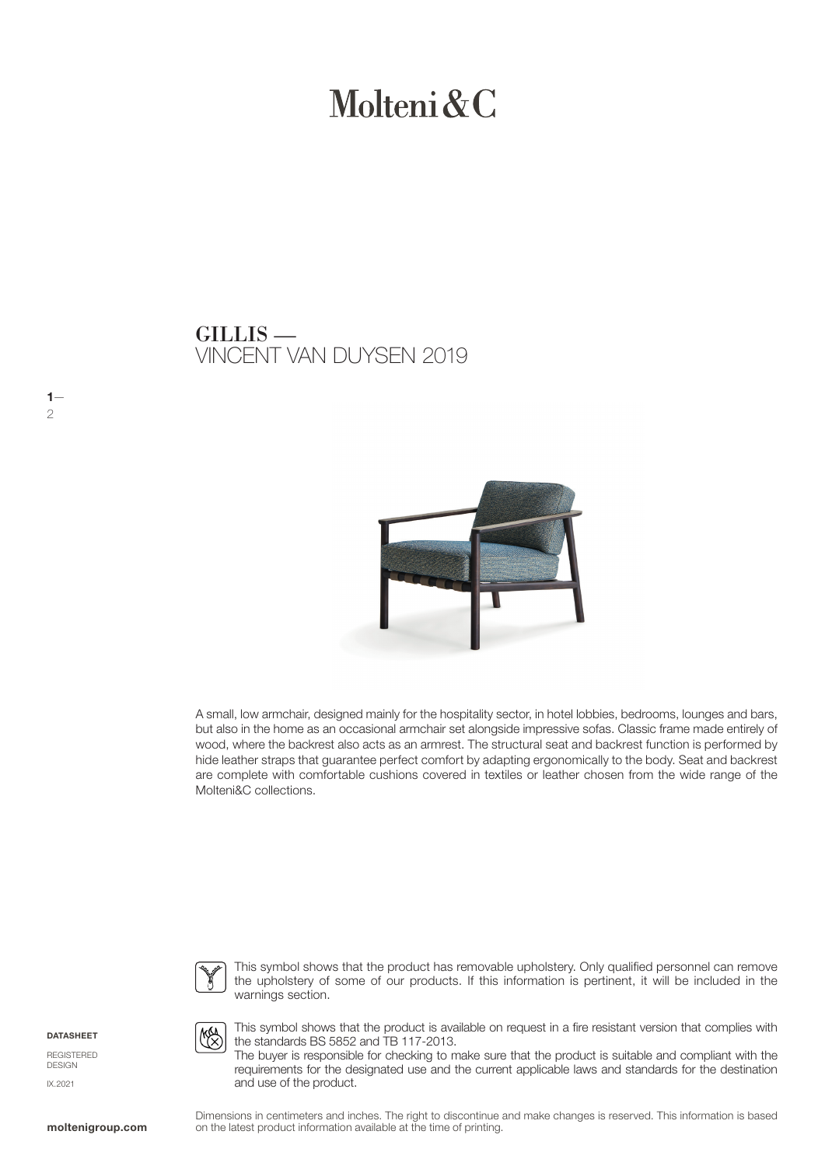# Molteni & C

### VINCENT VAN DUYSEN 2019 GILLIS —



A small, low armchair, designed mainly for the hospitality sector, in hotel lobbies, bedrooms, lounges and bars, but also in the home as an occasional armchair set alongside impressive sofas. Classic frame made entirely of wood, where the backrest also acts as an armrest. The structural seat and backrest function is performed by hide leather straps that guarantee perfect comfort by adapting ergonomically to the body. Seat and backrest are complete with comfortable cushions covered in textiles or leather chosen from the wide range of the Molteni&C collections.



This symbol shows that the product has removable upholstery. Only qualified personnel can remove the upholstery of some of our products. If this information is pertinent, it will be included in the warnings section.

**DATASHEET** 

 $1-$ 

2

REGISTERED DESIGN IX.2021

**KA** 

This symbol shows that the product is available on request in a fire resistant version that complies with the standards BS 5852 and TB 117-2013.

The buyer is responsible for checking to make sure that the product is suitable and compliant with the requirements for the designated use and the current applicable laws and standards for the destination and use of the product.

Dimensions in centimeters and inches. The right to discontinue and make changes is reserved. This information is based on the latest product information available at the time of printing.